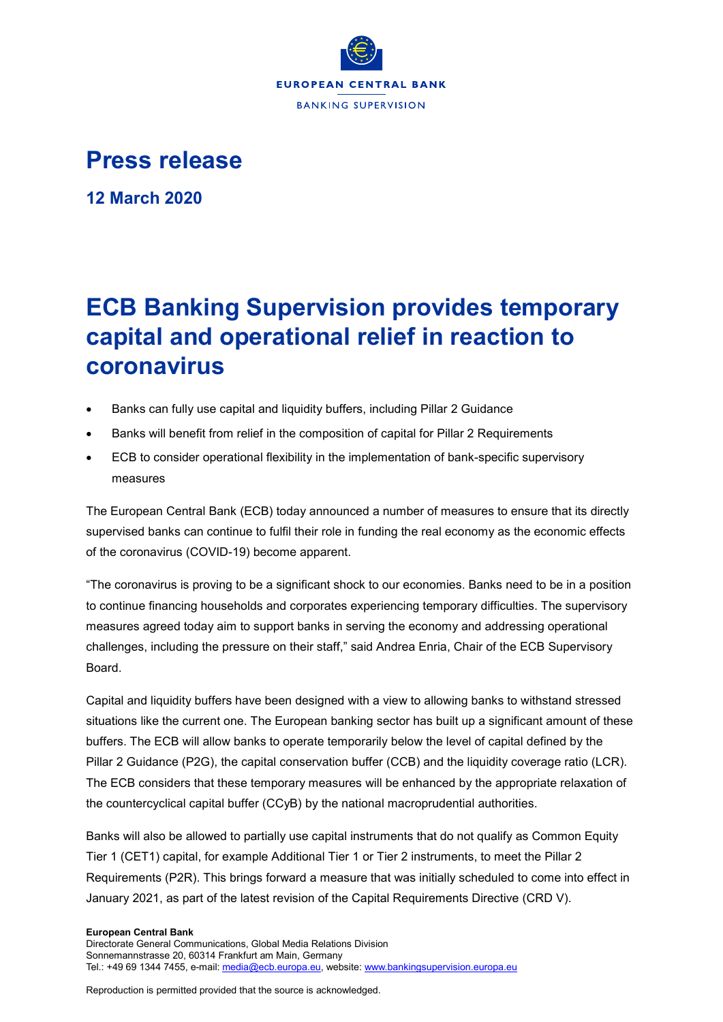

## **Press release**

**12 March 2020**

# **ECB Banking Supervision provides temporary capital and operational relief in reaction to coronavirus**

- Banks can fully use capital and liquidity buffers, including Pillar 2 Guidance
- Banks will benefit from relief in the composition of capital for Pillar 2 Requirements
- ECB to consider operational flexibility in the implementation of bank-specific supervisory measures

The European Central Bank (ECB) today announced a number of measures to ensure that its directly supervised banks can continue to fulfil their role in funding the real economy as the economic effects of the coronavirus (COVID-19) become apparent.

"The coronavirus is proving to be a significant shock to our economies. Banks need to be in a position to continue financing households and corporates experiencing temporary difficulties. The supervisory measures agreed today aim to support banks in serving the economy and addressing operational challenges, including the pressure on their staff," said Andrea Enria, Chair of the ECB Supervisory Board.

Capital and liquidity buffers have been designed with a view to allowing banks to withstand stressed situations like the current one. The European banking sector has built up a significant amount of these buffers. The ECB will allow banks to operate temporarily below the level of capital defined by the Pillar 2 Guidance (P2G), the capital conservation buffer (CCB) and the liquidity coverage ratio (LCR). The ECB considers that these temporary measures will be enhanced by the appropriate relaxation of the countercyclical capital buffer (CCyB) by the national macroprudential authorities.

Banks will also be allowed to partially use capital instruments that do not qualify as Common Equity Tier 1 (CET1) capital, for example Additional Tier 1 or Tier 2 instruments, to meet the Pillar 2 Requirements (P2R). This brings forward a measure that was initially scheduled to come into effect in January 2021, as part of the latest revision of the Capital Requirements Directive (CRD V).

## **European Central Bank**

Directorate General Communications, Global Media Relations Division Sonnemannstrasse 20, 60314 Frankfurt am Main, Germany Tel.: +49 69 1344 7455, e-mail[: media@ecb.europa.eu,](mailto:media@ecb.europa.eu) website[: www.bankingsupervision.europa.eu](http://www.bankingsupervision.europa.eu/)

Reproduction is permitted provided that the source is acknowledged.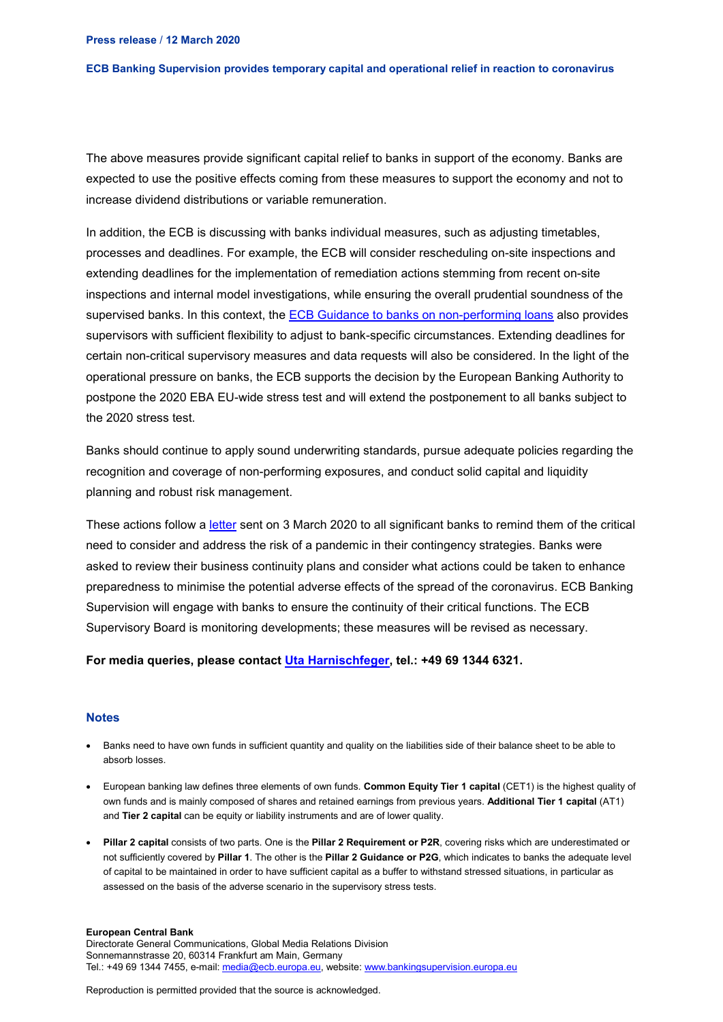### **ECB Banking Supervision provides temporary capital and operational relief in reaction to coronavirus**

The above measures provide significant capital relief to banks in support of the economy. Banks are expected to use the positive effects coming from these measures to support the economy and not to increase dividend distributions or variable remuneration.

In addition, the ECB is discussing with banks individual measures, such as adjusting timetables, processes and deadlines. For example, the ECB will consider rescheduling on-site inspections and extending deadlines for the implementation of remediation actions stemming from recent on-site inspections and internal model investigations, while ensuring the overall prudential soundness of the supervised banks. In this context, the **ECB Guidance to banks on non-performing loans** also provides supervisors with sufficient flexibility to adjust to bank-specific circumstances. Extending deadlines for certain non-critical supervisory measures and data requests will also be considered. In the light of the operational pressure on banks, the ECB supports the decision by the European Banking Authority to postpone the 2020 EBA EU-wide stress test and will extend the postponement to all banks subject to the 2020 stress test.

Banks should continue to apply sound underwriting standards, pursue adequate policies regarding the recognition and coverage of non-performing exposures, and conduct solid capital and liquidity planning and robust risk management.

These actions follow a [letter](https://www.bankingsupervision.europa.eu/press/letterstobanks/shared/pdf/2020/ssm.2020_letter_on_Contingency_preparedness_in_the_context_of_COVID-19.en.pdf?d1c8dc2780e2055243778bedf818efeb) sent on 3 March 2020 to all significant banks to remind them of the critical need to consider and address the risk of a pandemic in their contingency strategies. Banks were asked to review their business continuity plans and consider what actions could be taken to enhance preparedness to minimise the potential adverse effects of the spread of the coronavirus. ECB Banking Supervision will engage with banks to ensure the continuity of their critical functions. The ECB Supervisory Board is monitoring developments; these measures will be revised as necessary.

## **For media queries, please contact [Uta Harnischfeger,](mailto:uta.harnischfeger@ecb.europa.eu) tel.: +49 69 1344 6321.**

## **Notes**

- Banks need to have own funds in sufficient quantity and quality on the liabilities side of their balance sheet to be able to [absorb losses.](https://www.bankingsupervision.europa.eu/about/ssmexplained/html/hold_capital.en.html)
- European banking law defines three elements of own funds. **Common Equity Tier 1 capital** (CET1) is the highest quality of own funds and is mainly composed of shares and retained earnings from previous years. **Additional Tier 1 capital** (AT1) and **Tier 2 capital** can be equity or liability instruments and are of lower quality.
- **Pillar 2 capital** consists of two parts. One is the **Pillar 2 Requirement or P2R**, covering risks which are underestimated or not sufficiently covered by **Pillar 1**. The other is the **Pillar 2 Guidance or P2G**, which indicates to banks the adequate level of capital to be maintained in order to have sufficient capital as a buffer to withstand stressed situations, in particular as assessed on the basis of the adverse scenario in the supervisory stress tests.

#### **European Central Bank**

Directorate General Communications, Global Media Relations Division Sonnemannstrasse 20, 60314 Frankfurt am Main, Germany Tel.: +49 69 1344 7455, e-mail[: media@ecb.europa.eu,](mailto:media@ecb.europa.eu) website[: www.bankingsupervision.europa.eu](http://www.bankingsupervision.europa.eu/)

Reproduction is permitted provided that the source is acknowledged.